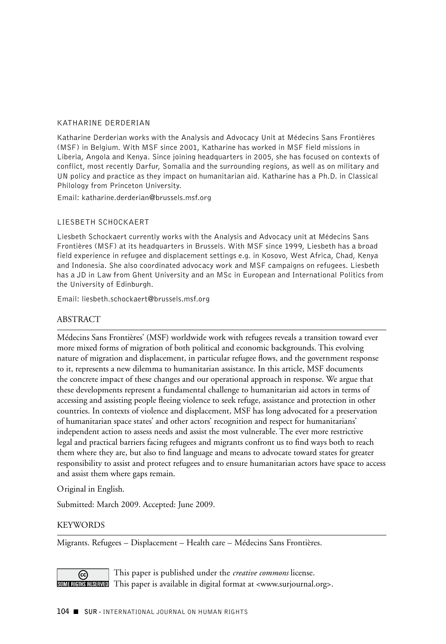#### Katharine Derderian

Katharine Derderian works with the Analysis and Advocacy Unit at Médecins Sans Frontières (MSF) in Belgium. With MSF since 2001, Katharine has worked in MSF field missions in Liberia, Angola and Kenya. Since joining headquarters in 2005, she has focused on contexts of conflict, most recently Darfur, Somalia and the surrounding regions, as well as on military and UN policy and practice as they impact on humanitarian aid. Katharine has a Ph.D. in Classical Philology from Princeton University.

Email: katharine.derderian@brussels.msf.org

### Liesbeth Schockaert

Liesbeth Schockaert currently works with the Analysis and Advocacy unit at Médecins Sans Frontières (MSF) at its headquarters in Brussels. With MSF since 1999, Liesbeth has a broad field experience in refugee and displacement settings e.g. in Kosovo, West Africa, Chad, Kenya and Indonesia. She also coordinated advocacy work and MSF campaigns on refugees. Liesbeth has a JD in Law from Ghent University and an MSc in European and International Politics from the University of Edinburgh.

Email: liesbeth.schockaert@brussels.msf.org

### **ABSTRACT**

Médecins Sans Frontières' (MSF) worldwide work with refugees reveals a transition toward ever more mixed forms of migration of both political and economic backgrounds. This evolving nature of migration and displacement, in particular refugee flows, and the government response to it, represents a new dilemma to humanitarian assistance. In this article, MSF documents the concrete impact of these changes and our operational approach in response. We argue that these developments represent a fundamental challenge to humanitarian aid actors in terms of accessing and assisting people fleeing violence to seek refuge, assistance and protection in other countries. In contexts of violence and displacement, MSF has long advocated for a preservation of humanitarian space states' and other actors' recognition and respect for humanitarians' independent action to assess needs and assist the most vulnerable. The ever more restrictive legal and practical barriers facing refugees and migrants confront us to find ways both to reach them where they are, but also to find language and means to advocate toward states for greater responsibility to assist and protect refugees and to ensure humanitarian actors have space to access and assist them where gaps remain.

Original in English.

Submitted: March 2009. Accepted: June 2009.

### **KEYWORDS**

Migrants. Refugees – Displacement – Health care – Médecins Sans Frontières.

This paper is published under the *creative commons* license. ල SOMERIGIT This paper is available in digital format at <www.surjournal.org>.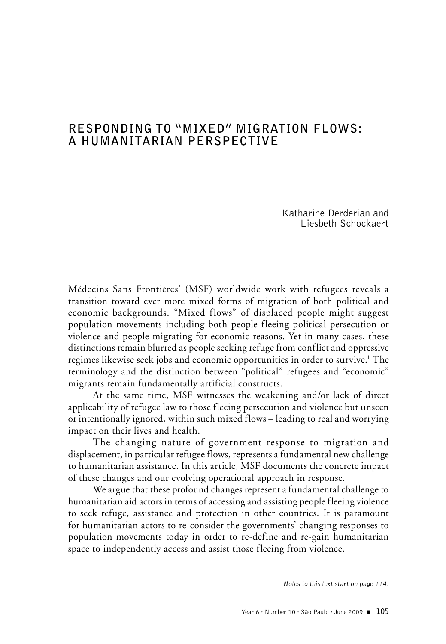# **Responding to "Mixed" Migration Flows: A Humanitarian Perspective**

Katharine Derderian and Liesbeth Schockaert

Médecins Sans Frontières' (MSF) worldwide work with refugees reveals a transition toward ever more mixed forms of migration of both political and economic backgrounds. "Mixed flows" of displaced people might suggest population movements including both people fleeing political persecution or violence and people migrating for economic reasons. Yet in many cases, these distinctions remain blurred as people seeking refuge from conflict and oppressive regimes likewise seek jobs and economic opportunities in order to survive.<sup>1</sup> The terminology and the distinction between "political" refugees and "economic" migrants remain fundamentally artificial constructs.

At the same time, MSF witnesses the weakening and/or lack of direct applicability of refugee law to those fleeing persecution and violence but unseen or intentionally ignored, within such mixed flows – leading to real and worrying impact on their lives and health.

The changing nature of government response to migration and displacement, in particular refugee flows, represents a fundamental new challenge to humanitarian assistance. In this article, MSF documents the concrete impact of these changes and our evolving operational approach in response.

We argue that these profound changes represent a fundamental challenge to humanitarian aid actors in terms of accessing and assisting people fleeing violence to seek refuge, assistance and protection in other countries. It is paramount for humanitarian actors to re-consider the governments' changing responses to population movements today in order to re-define and re-gain humanitarian space to independently access and assist those fleeing from violence.

*Notes to this text start on page 114.*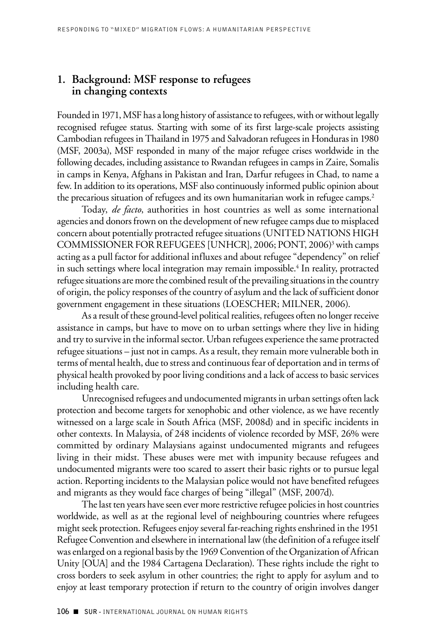### **1. Background: MSF response to refugees in changing contexts**

Founded in 1971, MSF has a long history of assistance to refugees, with or without legally recognised refugee status. Starting with some of its first large-scale projects assisting Cambodian refugees in Thailand in 1975 and Salvadoran refugees in Honduras in 1980 (MSF, 2003a), MSF responded in many of the major refugee crises worldwide in the following decades, including assistance to Rwandan refugees in camps in Zaire, Somalis in camps in Kenya, Afghans in Pakistan and Iran, Darfur refugees in Chad, to name a few. In addition to its operations, MSF also continuously informed public opinion about the precarious situation of refugees and its own humanitarian work in refugee camps.<sup>2</sup>

Today, *de facto*, authorities in host countries as well as some international agencies and donors frown on the development of new refugee camps due to misplaced concern about potentially protracted refugee situations (UNITED NATIONS HIGH COMMISSIONER FOR REFUGEES [UNHCR], 2006; PONT, 2006)<sup>3</sup> with camps acting as a pull factor for additional influxes and about refugee "dependency" on relief in such settings where local integration may remain impossible.<sup>4</sup> In reality, protracted refugee situations are more the combined result of the prevailing situations in the country of origin, the policy responses of the country of asylum and the lack of sufficient donor government engagement in these situations (LOESCHER; MILNER, 2006).

As a result of these ground-level political realities, refugees often no longer receive assistance in camps, but have to move on to urban settings where they live in hiding and try to survive in the informal sector. Urban refugees experience the same protracted refugee situations – just not in camps. As a result, they remain more vulnerable both in terms of mental health, due to stress and continuous fear of deportation and in terms of physical health provoked by poor living conditions and a lack of access to basic services including health care.

Unrecognised refugees and undocumented migrants in urban settings often lack protection and become targets for xenophobic and other violence, as we have recently witnessed on a large scale in South Africa (MSF, 2008d) and in specific incidents in other contexts. In Malaysia, of 248 incidents of violence recorded by MSF, 26% were committed by ordinary Malaysians against undocumented migrants and refugees living in their midst. These abuses were met with impunity because refugees and undocumented migrants were too scared to assert their basic rights or to pursue legal action. Reporting incidents to the Malaysian police would not have benefited refugees and migrants as they would face charges of being "illegal" (MSF, 2007d).

The last ten years have seen ever more restrictive refugee policies in host countries worldwide, as well as at the regional level of neighbouring countries where refugees might seek protection. Refugees enjoy several far-reaching rights enshrined in the 1951 Refugee Convention and elsewhere in international law (the definition of a refugee itself was enlarged on a regional basis by the 1969 Convention of the Organization of African Unity [OUA] and the 1984 Cartagena Declaration). These rights include the right to cross borders to seek asylum in other countries; the right to apply for asylum and to enjoy at least temporary protection if return to the country of origin involves danger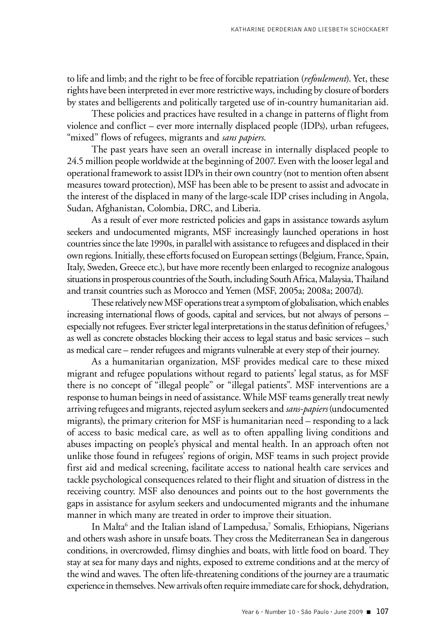to life and limb; and the right to be free of forcible repatriation (*refoulement*). Yet, these rights have been interpreted in ever more restrictive ways, including by closure of borders by states and belligerents and politically targeted use of in-country humanitarian aid.

These policies and practices have resulted in a change in patterns of flight from violence and conflict – ever more internally displaced people (IDPs), urban refugees, "mixed" flows of refugees, migrants and *sans papiers*.

The past years have seen an overall increase in internally displaced people to 24.5 million people worldwide at the beginning of 2007. Even with the looser legal and operational framework to assist IDPs in their own country (not to mention often absent measures toward protection), MSF has been able to be present to assist and advocate in the interest of the displaced in many of the large-scale IDP crises including in Angola, Sudan, Afghanistan, Colombia, DRC, and Liberia.

As a result of ever more restricted policies and gaps in assistance towards asylum seekers and undocumented migrants, MSF increasingly launched operations in host countries since the late 1990s, in parallel with assistance to refugees and displaced in their own regions. Initially, these efforts focused on European settings (Belgium, France, Spain, Italy, Sweden, Greece etc.), but have more recently been enlarged to recognize analogous situations in prosperous countries of the South, including South Africa, Malaysia, Thailand and transit countries such as Morocco and Yemen (MSF, 2005a; 2008a; 2007d).

These relatively new MSF operations treat a symptom of globalisation, which enables increasing international flows of goods, capital and services, but not always of persons – especially not refugees. Ever stricter legal interpretations in the status definition of refugees,<sup>5</sup> as well as concrete obstacles blocking their access to legal status and basic services – such as medical care – render refugees and migrants vulnerable at every step of their journey.

As a humanitarian organization, MSF provides medical care to these mixed migrant and refugee populations without regard to patients' legal status, as for MSF there is no concept of "illegal people" or "illegal patients". MSF interventions are a response to human beings in need of assistance. While MSF teams generally treat newly arriving refugees and migrants, rejected asylum seekers and *sans-papiers* (undocumented migrants), the primary criterion for MSF is humanitarian need – responding to a lack of access to basic medical care, as well as to often appalling living conditions and abuses impacting on people's physical and mental health. In an approach often not unlike those found in refugees' regions of origin, MSF teams in such project provide first aid and medical screening, facilitate access to national health care services and tackle psychological consequences related to their flight and situation of distress in the receiving country. MSF also denounces and points out to the host governments the gaps in assistance for asylum seekers and undocumented migrants and the inhumane manner in which many are treated in order to improve their situation.

In Malta<sup>6</sup> and the Italian island of Lampedusa,<sup>7</sup> Somalis, Ethiopians, Nigerians and others wash ashore in unsafe boats. They cross the Mediterranean Sea in dangerous conditions, in overcrowded, flimsy dinghies and boats, with little food on board. They stay at sea for many days and nights, exposed to extreme conditions and at the mercy of the wind and waves. The often life-threatening conditions of the journey are a traumatic experience in themselves. New arrivals often require immediate care for shock, dehydration,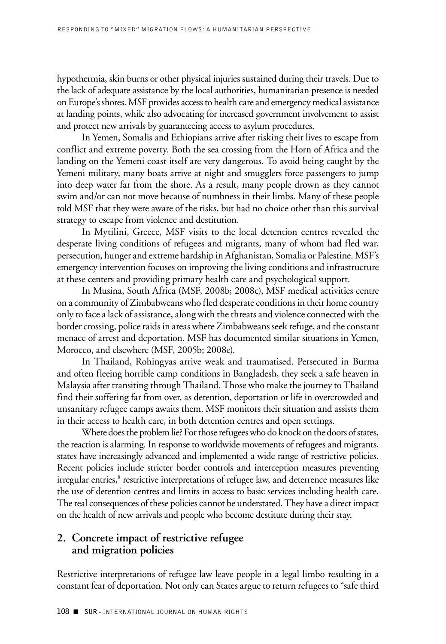hypothermia, skin burns or other physical injuries sustained during their travels. Due to the lack of adequate assistance by the local authorities, humanitarian presence is needed on Europe's shores. MSF provides access to health care and emergency medical assistance at landing points, while also advocating for increased government involvement to assist and protect new arrivals by guaranteeing access to asylum procedures.

In Yemen, Somalis and Ethiopians arrive after risking their lives to escape from conflict and extreme poverty. Both the sea crossing from the Horn of Africa and the landing on the Yemeni coast itself are very dangerous. To avoid being caught by the Yemeni military, many boats arrive at night and smugglers force passengers to jump into deep water far from the shore. As a result, many people drown as they cannot swim and/or can not move because of numbness in their limbs. Many of these people told MSF that they were aware of the risks, but had no choice other than this survival strategy to escape from violence and destitution.

In Mytilini, Greece, MSF visits to the local detention centres revealed the desperate living conditions of refugees and migrants, many of whom had fled war, persecution, hunger and extreme hardship in Afghanistan, Somalia or Palestine. MSF's emergency intervention focuses on improving the living conditions and infrastructure at these centers and providing primary health care and psychological support.

In Musina, South Africa (MSF, 2008b; 2008c), MSF medical activities centre on a community of Zimbabweans who fled desperate conditions in their home country only to face a lack of assistance, along with the threats and violence connected with the border crossing, police raids in areas where Zimbabweans seek refuge, and the constant menace of arrest and deportation. MSF has documented similar situations in Yemen, Morocco, and elsewhere (MSF, 2005b; 2008e).

In Thailand, Rohingyas arrive weak and traumatised. Persecuted in Burma and often fleeing horrible camp conditions in Bangladesh, they seek a safe heaven in Malaysia after transiting through Thailand. Those who make the journey to Thailand find their suffering far from over, as detention, deportation or life in overcrowded and unsanitary refugee camps awaits them. MSF monitors their situation and assists them in their access to health care, in both detention centres and open settings.

Where does the problem lie? For those refugees who do knock on the doors of states, the reaction is alarming. In response to worldwide movements of refugees and migrants, states have increasingly advanced and implemented a wide range of restrictive policies. Recent policies include stricter border controls and interception measures preventing irregular entries,<sup>8</sup> restrictive interpretations of refugee law, and deterrence measures like the use of detention centres and limits in access to basic services including health care. The real consequences of these policies cannot be understated. They have a direct impact on the health of new arrivals and people who become destitute during their stay.

## **2. Concrete impact of restrictive refugee and migration policies**

Restrictive interpretations of refugee law leave people in a legal limbo resulting in a constant fear of deportation. Not only can States argue to return refugees to "safe third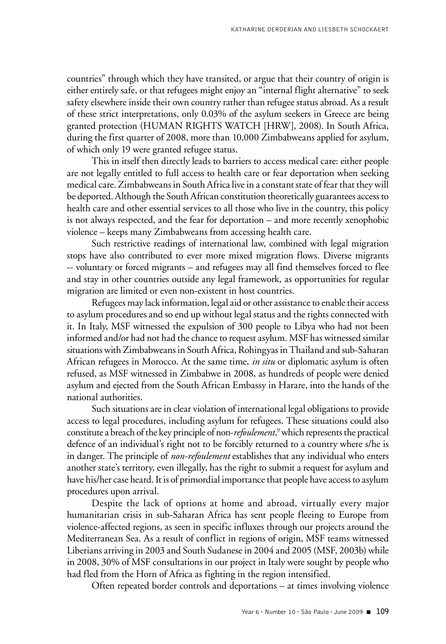countries" through which they have transited, or argue that their country of origin is either entirely safe, or that refugees might enjoy an "internal flight alternative" to seek safety elsewhere inside their own country rather than refugee status abroad. As a result of these strict interpretations, only 0.03% of the asylum seekers in Greece are being granted protection (HUMAN RIGHTS WATCH [HRW], 2008). In South Africa, during the first quarter of 2008, more than 10,000 Zimbabweans applied for asylum, of which only 19 were granted refugee status.

This in itself then directly leads to barriers to access medical care: either people are not legally entitled to full access to health care or fear deportation when seeking medical care. Zimbabweans in South Africa live in a constant state of fear that they will be deported. Although the South African constitution theoretically guarantees access to health care and other essential services to all those who live in the country, this policy is not always respected, and the fear for deportation – and more recently xenophobic violence – keeps many Zimbabweans from accessing health care.

Such restrictive readings of international law, combined with legal migration stops have also contributed to ever more mixed migration flows. Diverse migrants -- voluntary or forced migrants – and refugees may all find themselves forced to flee and stay in other countries outside any legal framework, as opportunities for regular migration are limited or even non-existent in host countries.

Refugees may lack information, legal aid or other assistance to enable their access to asylum procedures and so end up without legal status and the rights connected with it. In Italy, MSF witnessed the expulsion of 300 people to Libya who had not been informed and/or had not had the chance to request asylum. MSF has witnessed similar situations with Zimbabweans in South Africa, Rohingyas in Thailand and sub-Saharan African refugees in Morocco. At the same time, *in situ* or diplomatic asylum is often refused, as MSF witnessed in Zimbabwe in 2008, as hundreds of people were denied asylum and ejected from the South African Embassy in Harare, into the hands of the national authorities.

Such situations are in clear violation of international legal obligations to provide access to legal procedures, including asylum for refugees. These situations could also constitute a breach of the key principle of non-*refoulement*,<sup>9</sup> which represents the practical defence of an individual's right not to be forcibly returned to a country where s/he is in danger. The principle of *non-refoulement* establishes that any individual who enters another state's territory, even illegally, has the right to submit a request for asylum and have his/her case heard. It is of primordial importance that people have access to asylum procedures upon arrival.

Despite the lack of options at home and abroad, virtually every major humanitarian crisis in sub-Saharan Africa has sent people fleeing to Europe from violence-affected regions, as seen in specific influxes through our projects around the Mediterranean Sea. As a result of conflict in regions of origin, MSF teams witnessed Liberians arriving in 2003 and South Sudanese in 2004 and 2005 (MSF, 2003b) while in 2008, 30% of MSF consultations in our project in Italy were sought by people who had fled from the Horn of Africa as fighting in the region intensified.

Often repeated border controls and deportations – at times involving violence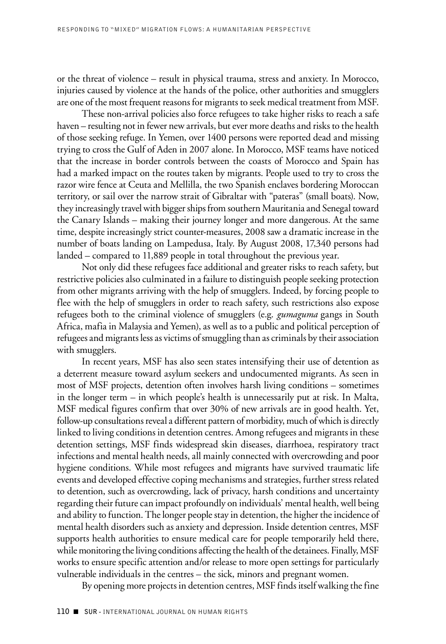or the threat of violence – result in physical trauma, stress and anxiety. In Morocco, injuries caused by violence at the hands of the police, other authorities and smugglers are one of the most frequent reasons for migrants to seek medical treatment from MSF.

These non-arrival policies also force refugees to take higher risks to reach a safe haven – resulting not in fewer new arrivals, but ever more deaths and risks to the health of those seeking refuge. In Yemen, over 1400 persons were reported dead and missing trying to cross the Gulf of Aden in 2007 alone. In Morocco, MSF teams have noticed that the increase in border controls between the coasts of Morocco and Spain has had a marked impact on the routes taken by migrants. People used to try to cross the razor wire fence at Ceuta and Mellilla, the two Spanish enclaves bordering Moroccan territory, or sail over the narrow strait of Gibraltar with "pateras" (small boats). Now, they increasingly travel with bigger ships from southern Mauritania and Senegal toward the Canary Islands – making their journey longer and more dangerous. At the same time, despite increasingly strict counter-measures, 2008 saw a dramatic increase in the number of boats landing on Lampedusa, Italy. By August 2008, 17,340 persons had landed – compared to 11,889 people in total throughout the previous year.

Not only did these refugees face additional and greater risks to reach safety, but restrictive policies also culminated in a failure to distinguish people seeking protection from other migrants arriving with the help of smugglers. Indeed, by forcing people to flee with the help of smugglers in order to reach safety, such restrictions also expose refugees both to the criminal violence of smugglers (e.g. *gumaguma* gangs in South Africa, mafia in Malaysia and Yemen), as well as to a public and political perception of refugees and migrants less as victims of smuggling than as criminals by their association with smugglers.

In recent years, MSF has also seen states intensifying their use of detention as a deterrent measure toward asylum seekers and undocumented migrants. As seen in most of MSF projects, detention often involves harsh living conditions – sometimes in the longer term – in which people's health is unnecessarily put at risk. In Malta, MSF medical figures confirm that over 30% of new arrivals are in good health. Yet, follow-up consultations reveal a different pattern of morbidity, much of which is directly linked to living conditions in detention centres. Among refugees and migrants in these detention settings, MSF finds widespread skin diseases, diarrhoea, respiratory tract infections and mental health needs, all mainly connected with overcrowding and poor hygiene conditions. While most refugees and migrants have survived traumatic life events and developed effective coping mechanisms and strategies, further stress related to detention, such as overcrowding, lack of privacy, harsh conditions and uncertainty regarding their future can impact profoundly on individuals' mental health, well being and ability to function. The longer people stay in detention, the higher the incidence of mental health disorders such as anxiety and depression. Inside detention centres, MSF supports health authorities to ensure medical care for people temporarily held there, while monitoring the living conditions affecting the health of the detainees. Finally, MSF works to ensure specific attention and/or release to more open settings for particularly vulnerable individuals in the centres – the sick, minors and pregnant women.

By opening more projects in detention centres, MSF finds itself walking the fine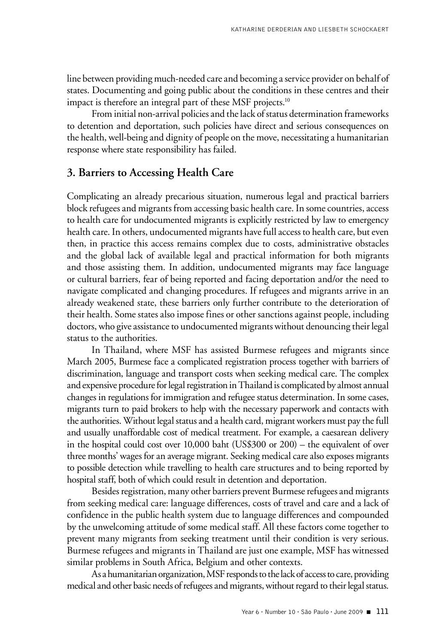line between providing much-needed care and becoming a service provider on behalf of states. Documenting and going public about the conditions in these centres and their impact is therefore an integral part of these MSF projects.<sup>10</sup>

From initial non-arrival policies and the lack of status determination frameworks to detention and deportation, such policies have direct and serious consequences on the health, well-being and dignity of people on the move, necessitating a humanitarian response where state responsibility has failed.

### **3. Barriers to Accessing Health Care**

Complicating an already precarious situation, numerous legal and practical barriers block refugees and migrants from accessing basic health care. In some countries, access to health care for undocumented migrants is explicitly restricted by law to emergency health care. In others, undocumented migrants have full access to health care, but even then, in practice this access remains complex due to costs, administrative obstacles and the global lack of available legal and practical information for both migrants and those assisting them. In addition, undocumented migrants may face language or cultural barriers, fear of being reported and facing deportation and/or the need to navigate complicated and changing procedures. If refugees and migrants arrive in an already weakened state, these barriers only further contribute to the deterioration of their health. Some states also impose fines or other sanctions against people, including doctors, who give assistance to undocumented migrants without denouncing their legal status to the authorities.

In Thailand, where MSF has assisted Burmese refugees and migrants since March 2005, Burmese face a complicated registration process together with barriers of discrimination, language and transport costs when seeking medical care. The complex and expensive procedure for legal registration in Thailand is complicated by almost annual changes in regulations for immigration and refugee status determination. In some cases, migrants turn to paid brokers to help with the necessary paperwork and contacts with the authorities. Without legal status and a health card, migrant workers must pay the full and usually unaffordable cost of medical treatment. For example, a caesarean delivery in the hospital could cost over 10,000 baht (US\$300 or 200) – the equivalent of over three months' wages for an average migrant. Seeking medical care also exposes migrants to possible detection while travelling to health care structures and to being reported by hospital staff, both of which could result in detention and deportation.

Besides registration, many other barriers prevent Burmese refugees and migrants from seeking medical care: language differences, costs of travel and care and a lack of confidence in the public health system due to language differences and compounded by the unwelcoming attitude of some medical staff. All these factors come together to prevent many migrants from seeking treatment until their condition is very serious. Burmese refugees and migrants in Thailand are just one example, MSF has witnessed similar problems in South Africa, Belgium and other contexts.

As a humanitarian organization, MSF responds to the lack of access to care, providing medical and other basic needs of refugees and migrants, without regard to their legal status.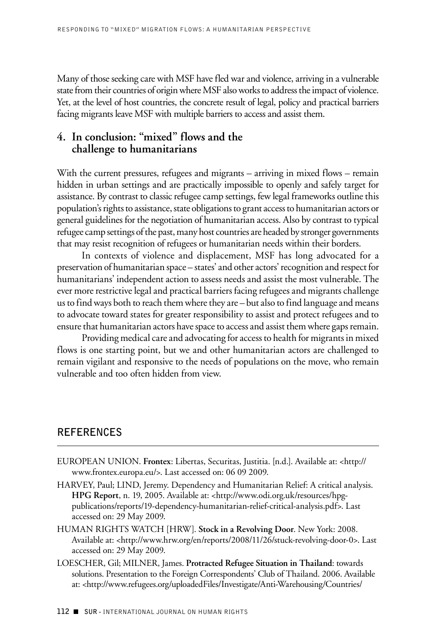Many of those seeking care with MSF have fled war and violence, arriving in a vulnerable state from their countries of origin where MSF also works to address the impact of violence. Yet, at the level of host countries, the concrete result of legal, policy and practical barriers facing migrants leave MSF with multiple barriers to access and assist them.

### **4. In conclusion: "mixed" flows and the challenge to humanitarians**

With the current pressures, refugees and migrants – arriving in mixed flows – remain hidden in urban settings and are practically impossible to openly and safely target for assistance. By contrast to classic refugee camp settings, few legal frameworks outline this population's rights to assistance, state obligations to grant access to humanitarian actors or general guidelines for the negotiation of humanitarian access. Also by contrast to typical refugee camp settings of the past, many host countries are headed by stronger governments that may resist recognition of refugees or humanitarian needs within their borders.

In contexts of violence and displacement, MSF has long advocated for a preservation of humanitarian space – states' and other actors' recognition and respect for humanitarians' independent action to assess needs and assist the most vulnerable. The ever more restrictive legal and practical barriers facing refugees and migrants challenge us to find ways both to reach them where they are – but also to find language and means to advocate toward states for greater responsibility to assist and protect refugees and to ensure that humanitarian actors have space to access and assist them where gaps remain.

Providing medical care and advocating for access to health for migrants in mixed flows is one starting point, but we and other humanitarian actors are challenged to remain vigilant and responsive to the needs of populations on the move, who remain vulnerable and too often hidden from view.

# **References**

- EUROPEAN UNION. **Frontex**: Libertas, Securitas, Justitia. [n.d.]. Available at: <http:// www.frontex.europa.eu/>. Last accessed on: 06 09 2009.
- HARVEY, Paul; LIND, Jeremy. Dependency and Humanitarian Relief: A critical analysis. **HPG Report**, n. 19, 2005. Available at: <http://www.odi.org.uk/resources/hpgpublications/reports/19-dependency-humanitarian-relief-critical-analysis.pdf>. Last accessed on: 29 May 2009.
- HUMAN RIGHTS WATCH [HRW]. **Stock in a Revolving Door**. New York: 2008. Available at: <http://www.hrw.org/en/reports/2008/11/26/stuck-revolving-door-0>. Last accessed on: 29 May 2009.
- LOESCHER, Gil; MILNER, James. **Protracted Refugee Situation in Thailand**: towards solutions. Presentation to the Foreign Correspondents' Club of Thailand. 2006. Available at: <http://www.refugees.org/uploadedFiles/Investigate/Anti-Warehousing/Countries/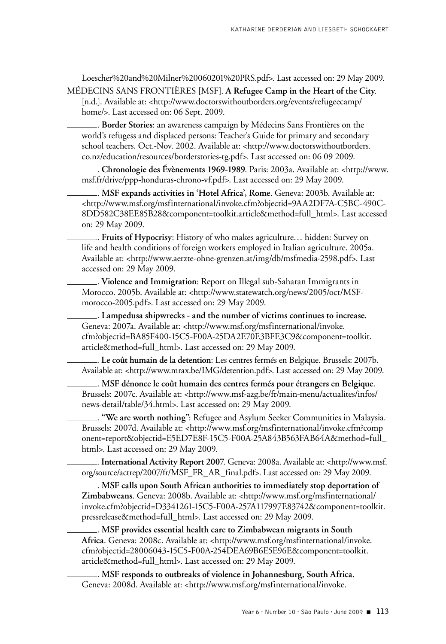Loescher%20and%20Milner%20060201%20PRS.pdf>. Last accessed on: 29 May 2009. Médecins Sans Frontières [MSF]. **A Refugee Camp in the Heart of the City**.

[n.d.]. Available at: <http://www.doctorswithoutborders.org/events/refugeecamp/ home/>. Last accessed on: 06 Sept. 2009.

. **Border Stories**: an awareness campaign by Médecins Sans Frontières on the world's refugess and displaced persons: Teacher's Guide for primary and secondary school teachers. Oct.-Nov. 2002. Available at: <http://www.doctorswithoutborders. co.nz/education/resources/borderstories-tg.pdf>. Last accessed on: 06 09 2009.

. **Chronologie des Évènements 1969-1989**. Paris: 2003a. Available at: <http://www. msf.fr/drive/ppp-honduras-chrono-vf.pdf>. Last accessed on: 29 May 2009.

. **MSF expands activities in 'Hotel Africa', Rome**. Geneva: 2003b. Available at: <http://www.msf.org/msfinternational/invoke.cfm?objectid=9AA2DF7A-C5BC-490C-8DD582C38EE85B28&component=toolkit.article&method=full\_html>. Last accessed on: 29 May 2009.

. **Fruits of Hypocrisy**: History of who makes agriculture… hidden: Survey on life and health conditions of foreign workers employed in Italian agriculture. 2005a. Available at: <http://www.aerzte-ohne-grenzen.at/img/db/msfmedia-2598.pdf>. Last accessed on: 29 May 2009.

. **Violence and Immigration**: Report on Illegal sub-Saharan Immigrants in Morocco. 2005b. Available at: <http://www.statewatch.org/news/2005/oct/MSFmorocco-2005.pdf>. Last accessed on: 29 May 2009.

. **Lampedusa shipwrecks - and the number of victims continues to increase**. Geneva: 2007a. Available at: <http://www.msf.org/msfinternational/invoke. cfm?objectid=BA85F400-15C5-F00A-25DA2E70E3BFE3C9&component=toolkit. article&method=full\_html>. Last accessed on: 29 May 2009.

. **Le coût humain de la detention**: Les centres fermés en Belgique. Brussels: 2007b. Available at: <http://www.mrax.be/IMG/detention.pdf>. Last accessed on: 29 May 2009.

. **MSF dénonce le coût humain des centres fermés pour étrangers en Belgique**. Brussels: 2007c. Available at: <http://www.msf-azg.be/fr/main-menu/actualites/infos/ news-detail/table/34.html>. Last accessed on: 29 May 2009.

. **"We are worth nothing"**: Refugee and Asylum Seeker Communities in Malaysia. Brussels: 2007d. Available at: <http://www.msf.org/msfinternational/invoke.cfm?comp onent=report&objectid=E5ED7E8F-15C5-F00A-25A843B563FAB64A&method=full\_ html>. Last accessed on: 29 May 2009.

. **International Activity Report 2007**. Geneva: 2008a. Available at: <http://www.msf. org/source/actrep/2007/fr/MSF\_FR\_AR\_final.pdf>. Last accessed on: 29 May 2009.

. **MSF calls upon South African authorities to immediately stop deportation of Zimbabweans**. Geneva: 2008b. Available at: <http://www.msf.org/msfinternational/ invoke.cfm?objectid=D3341261-15C5-F00A-257A117997E83742&component=toolkit. pressrelease&method=full\_html>. Last accessed on: 29 May 2009.

. **MSF provides essential health care to Zimbabwean migrants in South Africa**. Geneva: 2008c. Available at: <http://www.msf.org/msfinternational/invoke. cfm?objectid=28006043-15C5-F00A-254DEA69B6E5E96E&component=toolkit. article&method=full\_html>. Last accessed on: 29 May 2009.

. **MSF responds to outbreaks of violence in Johannesburg, South Africa**. Geneva: 2008d. Available at: <http://www.msf.org/msfinternational/invoke.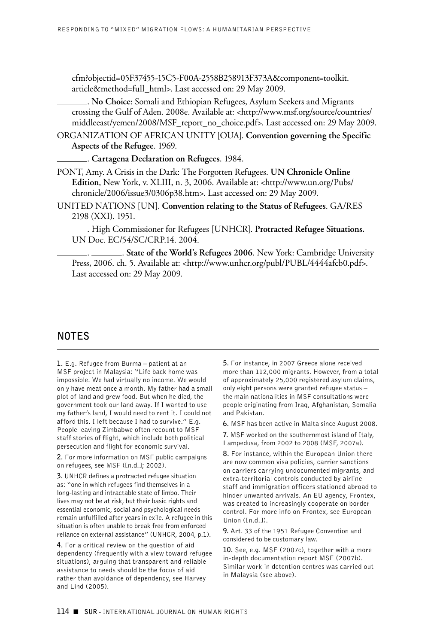cfm?objectid=05F37455-15C5-F00A-2558B258913F373A&component=toolkit. article&method=full\_html>. Last accessed on: 29 May 2009.

. **No Choice**: Somali and Ethiopian Refugees, Asylum Seekers and Migrants crossing the Gulf of Aden. 2008e. Available at: <http://www.msf.org/source/countries/ middleeast/yemen/2008/MSF\_report\_no\_choice.pdf>. Last accessed on: 29 May 2009.

ORGANIZATION OF AFRICAN UNITY [OUA]. **Convention governing the Specific Aspects of the Refugee**. 1969.

. **Cartagena Declaration on Refugees**. 1984.

PONT, Amy. A Crisis in the Dark: The Forgotten Refugees. **UN Chronicle Online Edition**, New York, v. XLIII, n. 3, 2006. Available at: <http://www.un.org/Pubs/ chronicle/2006/issue3/0306p38.htm>. Last accessed on: 29 May 2009.

United Nations [un]. **Convention relating to the Status of Refugees**. GA/RES 2198 (XXI). 1951.

. High Commissioner for Refugees [UNHCR]. **Protracted Refugee Situations.** UN Doc. EC/54/SC/CRP.14. 2004.

. . **State of the World's Refugees 2006**. New York: Cambridge University Press, 2006. ch. 5. Available at: <http://www.unhcr.org/publ/PUBL/4444afcb0.pdf>. Last accessed on: 29 May 2009.

### **NOTeS**

**1.** E.g. Refugee from Burma – patient at an MSF project in Malaysia: "Life back home was impossible. We had virtually no income. We would only have meat once a month. My father had a small plot of land and grew food. But when he died, the government took our land away. If I wanted to use my father's land, I would need to rent it. I could not afford this. I left because I had to survive." E.g. People leaving Zimbabwe often recount to MSF staff stories of flight, which include both political persecution and flight for economic survival.

**2.** For more information on MSF public campaigns on refugees, see MSF ([n.d.]; 2002).

**3.** UNHCR defines a protracted refugee situation as: "one in which refugees find themselves in a long-lasting and intractable state of limbo. Their lives may not be at risk, but their basic rights and essential economic, social and psychological needs remain unfulfilled after years in exile. A refugee in this situation is often unable to break free from enforced reliance on external assistance" (UNHCR, 2004, p.1).

**4.** For a critical review on the question of aid dependency (frequently with a view toward refugee situations), arguing that transparent and reliable assistance to needs should be the focus of aid rather than avoidance of dependency, see Harvey and Lind (2005).

**5.** For instance, in 2007 Greece alone received more than 112,000 migrants. However, from a total of approximately 25,000 registered asylum claims, only eight persons were granted refugee status – the main nationalities in MSF consultations were people originating from Iraq, Afghanistan, Somalia and Pakistan.

**6.** MSF has been active in Malta since August 2008.

**7.** MSF worked on the southernmost island of Italy, Lampedusa, from 2002 to 2008 (MSF, 2007a).

**8.** For instance, within the European Union there are now common visa policies, carrier sanctions on carriers carrying undocumented migrants, and extra-territorial controls conducted by airline staff and immigration officers stationed abroad to hinder unwanted arrivals. An EU agency, Frontex, was created to increasingly cooperate on border control. For more info on Frontex, see European Union ([n.d.]).

**9.** Art. 33 of the 1951 Refugee Convention and considered to be customary law.

**10.** See, e.g. MSF (2007c), together with a more in-depth documentation report MSF (2007b). Similar work in detention centres was carried out in Malaysia (see above).